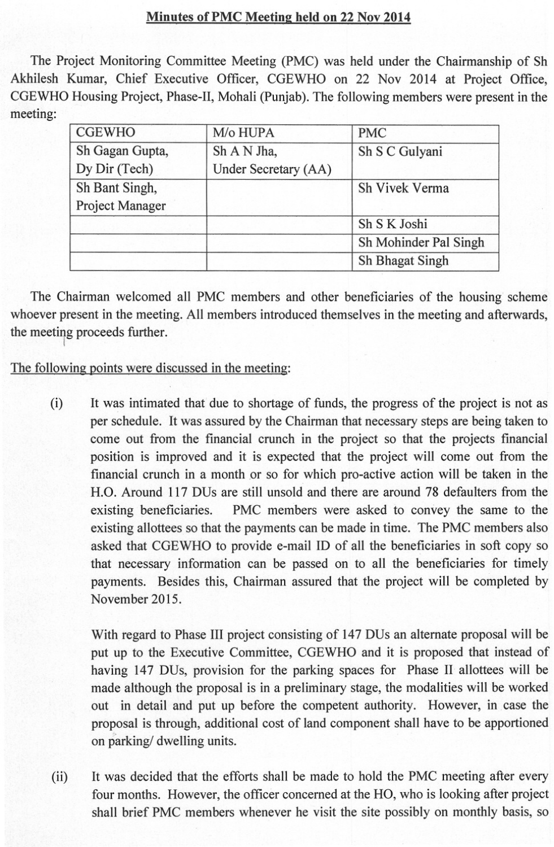## Minutes ofPMC Meeting held on 22 Nov 2014

The Project Monitoring Committee Meeting (PMC) was held under the Chairmanship of Sh Akhilesh Kumar, Chief Executive Officer, CGEWHO on 22 Nov 2014 at Project Office, CGEWHO Housing Project, Phase-II, Mohali (Punjab). The following members were present in the meeting:

| <b>CGEWHO</b>   | M/o HUPA             | <b>PMC</b>            |
|-----------------|----------------------|-----------------------|
| Sh Gagan Gupta, | Sh A N Jha,          | Sh S C Gulyani        |
| Dy Dir (Tech)   | Under Secretary (AA) |                       |
| Sh Bant Singh,  |                      | Sh Vivek Verma        |
| Project Manager |                      |                       |
|                 |                      | Sh S K Joshi          |
|                 |                      | Sh Mohinder Pal Singh |
|                 |                      | Sh Bhagat Singh       |

The Chairman welcomed all PMC members and other beneficiaries of the housing scheme whoever present in the meeting. All members introduced themselves in the meeting and afterwards, the meeting proceeds further.

The following points were discussed in the meeting:

(i) It was intimated that due to shortage of funds, the progress of the project is not as per schedule. It was assured by the Chairman that necessary steps are being taken to come out from the financial crunch in the project so that the projects financial position is improved and it is expected that the project will come out from the financial crunch in a month or so for which pro-active action will be taken in the H.O. Around 117 DUs are still unsold and there are around 78 defaulters from the existing beneficiaries. PMC members were asked to convey the same to the existing allottees so that the payments can be made in time. The PMC members also asked that CGEWHO to provide e-mail ID of all the beneficiaries in soft copy so that necessary information can be passed on to all the beneficiaries for timely payments. Besides this, Chairman assured that the project will be completed by November 2015.

With regard to Phase III project consisting of 147 DUs an alternate proposal will be put up to the Executive Committee, CGEWHO and it is proposed that instead of having 147 DUs, provision for the parking spaces for Phase II allottees will be made although the proposal is in a preliminary stage, the modalities will be worked out in detail and put up before the competent authority. However, in case the proposal is through, additional cost of land component shall have to be apportioned on parking/ dwelling units.

(ii) It was decided that the efforts shall be made to hold the PMC meeting after every four months. However, the officer concerned at the HO, who is looking after project shall brief PMC members whenever he visit the site possibly on monthly basis, so